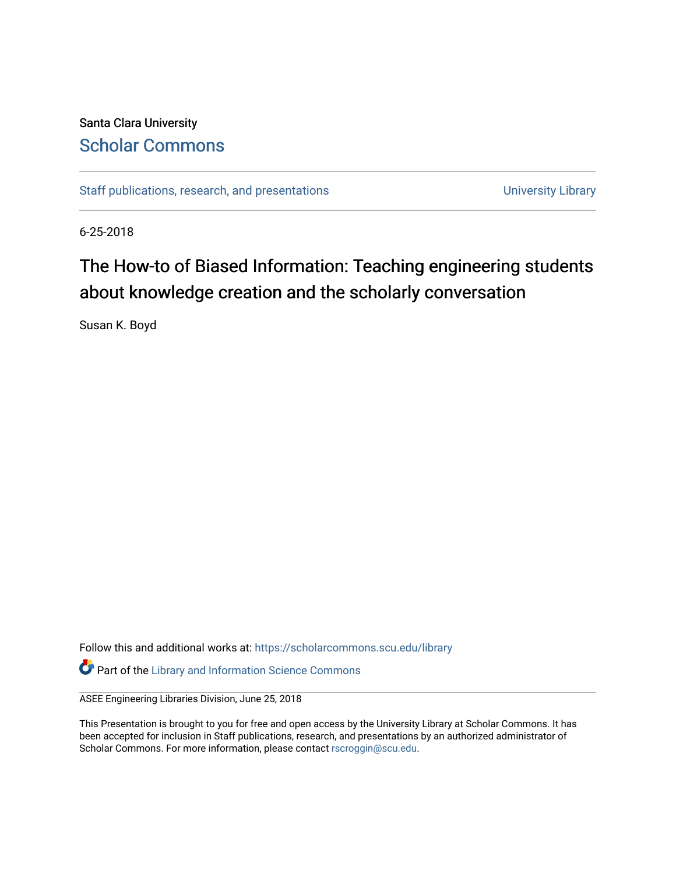#### Santa Clara University [Scholar Commons](https://scholarcommons.scu.edu/)

[Staff publications, research, and presentations](https://scholarcommons.scu.edu/library) and the University Library

6-25-2018

#### The How-to of Biased Information: Teaching engineering students about knowledge creation and the scholarly conversation

Susan K. Boyd

Follow this and additional works at: [https://scholarcommons.scu.edu/library](https://scholarcommons.scu.edu/library?utm_source=scholarcommons.scu.edu%2Flibrary%2F217&utm_medium=PDF&utm_campaign=PDFCoverPages)  **Part of the Library and Information Science Commons** 

ASEE Engineering Libraries Division, June 25, 2018

This Presentation is brought to you for free and open access by the University Library at Scholar Commons. It has been accepted for inclusion in Staff publications, research, and presentations by an authorized administrator of Scholar Commons. For more information, please contact [rscroggin@scu.edu.](mailto:rscroggin@scu.edu)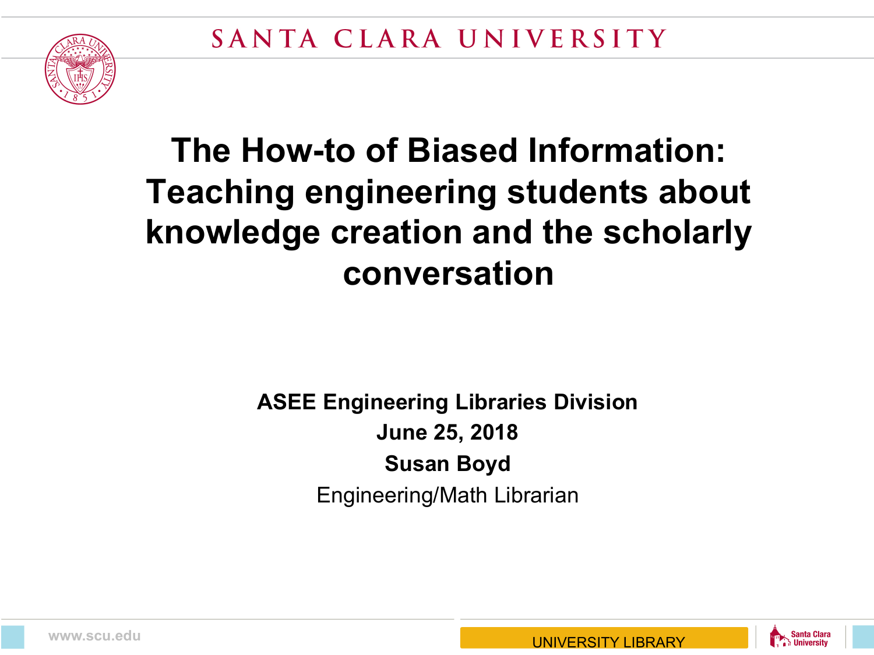

#### **The How-to of Biased Information: Teaching engineering students about knowledge creation and the scholarly conversation**

#### **ASEE Engineering Libraries Division June 25, 2018 Susan Boyd** Engineering/Math Librarian



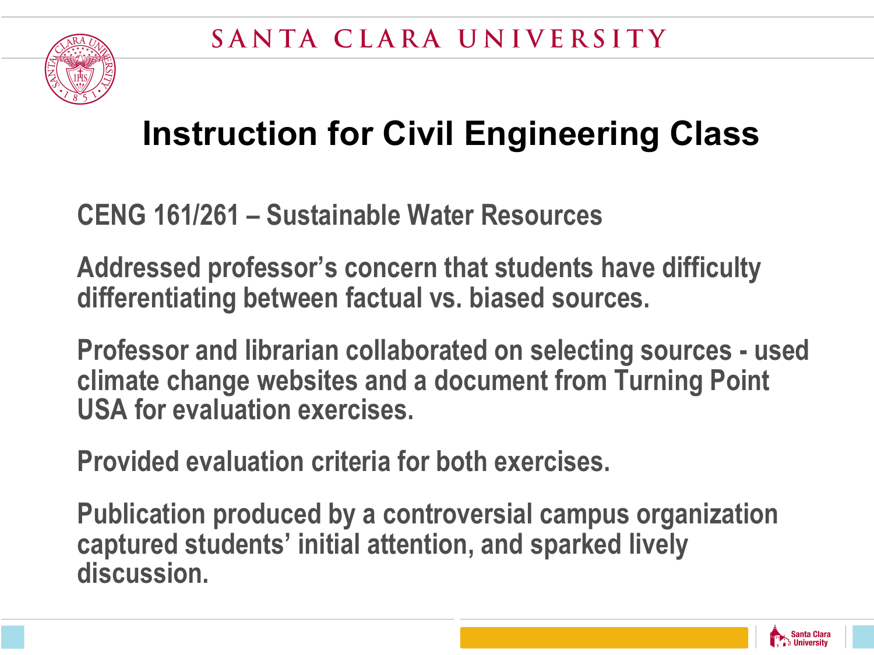## **Instruction for Civil Engineering Class**

**CENG 161/261 – Sustainable Water Resources**

**Addressed professor's concern that students have difficulty differentiating between factual vs. biased sources.**

**Professor and librarian collaborated on selecting sources - used climate change websites and a document from Turning Point USA for evaluation exercises.**

**Provided evaluation criteria for both exercises.**

**Publication produced by a controversial campus organization captured students' initial attention, and sparked lively discussion.**

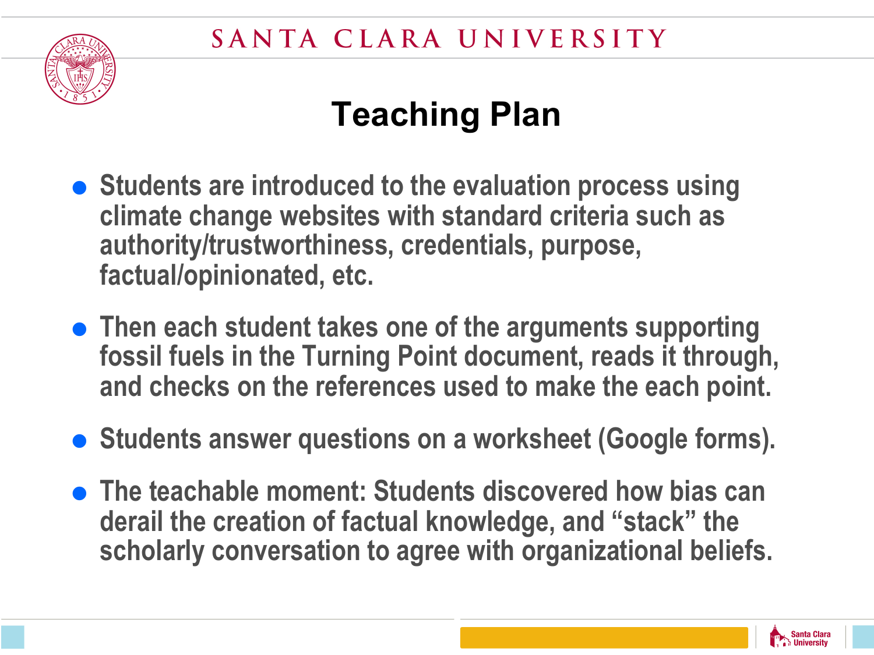

### **Teaching Plan**

- **Students are introduced to the evaluation process using climate change websites with standard criteria such as authority/trustworthiness, credentials, purpose, factual/opinionated, etc.**
- **Then each student takes one of the arguments supporting fossil fuels in the Turning Point document, reads it through, and checks on the references used to make the each point.**
- Students answer questions on a worksheet (Google forms).
- **The teachable moment: Students discovered how bias can derail the creation of factual knowledge, and "stack" the scholarly conversation to agree with organizational beliefs.**

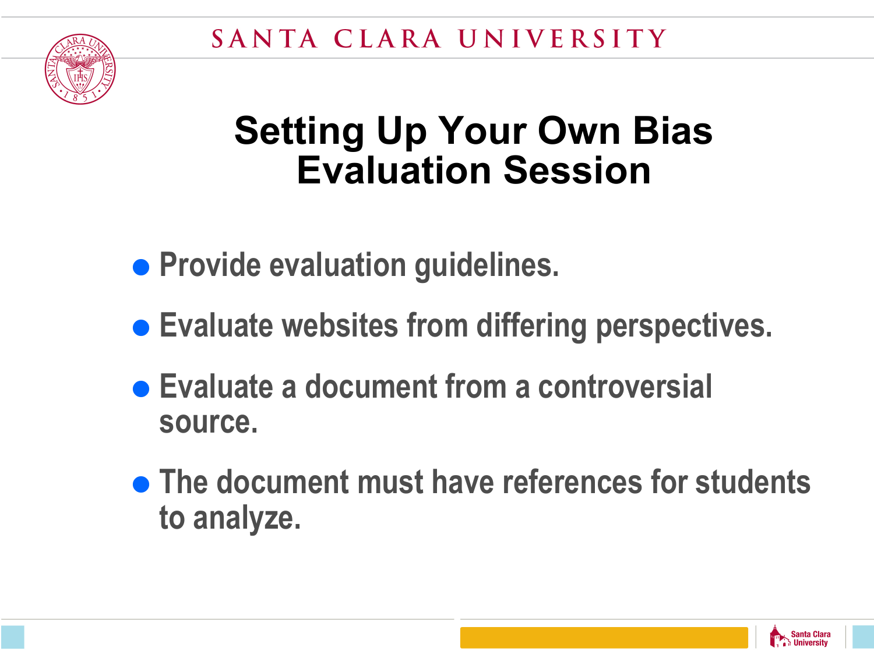

### **Setting Up Your Own Bias Evaluation Session**

- **Provide evaluation guidelines.**
- Evaluate websites from differing perspectives.
- =**Evaluate a document from a controversial source.**
- **The document must have references for students to analyze.**